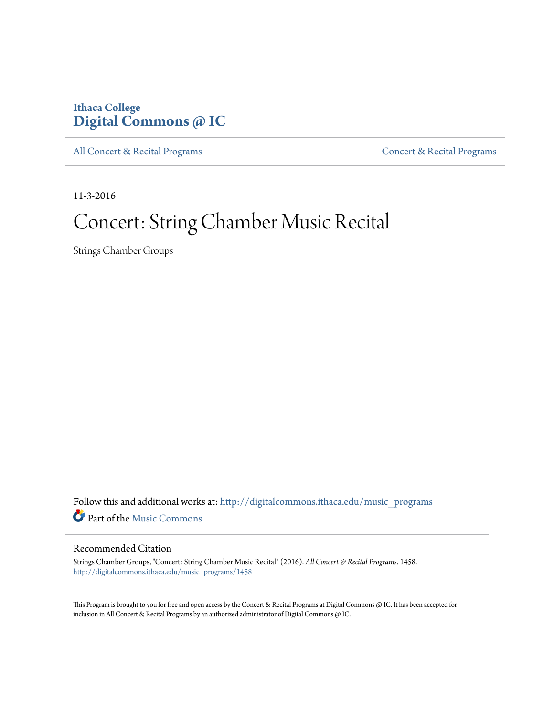## **Ithaca College [Digital Commons @ IC](http://digitalcommons.ithaca.edu?utm_source=digitalcommons.ithaca.edu%2Fmusic_programs%2F1458&utm_medium=PDF&utm_campaign=PDFCoverPages)**

[All Concert & Recital Programs](http://digitalcommons.ithaca.edu/music_programs?utm_source=digitalcommons.ithaca.edu%2Fmusic_programs%2F1458&utm_medium=PDF&utm_campaign=PDFCoverPages) **[Concert & Recital Programs](http://digitalcommons.ithaca.edu/som_programs?utm_source=digitalcommons.ithaca.edu%2Fmusic_programs%2F1458&utm_medium=PDF&utm_campaign=PDFCoverPages)** 

11-3-2016

# Concert: String Chamber Music Recital

Strings Chamber Groups

Follow this and additional works at: [http://digitalcommons.ithaca.edu/music\\_programs](http://digitalcommons.ithaca.edu/music_programs?utm_source=digitalcommons.ithaca.edu%2Fmusic_programs%2F1458&utm_medium=PDF&utm_campaign=PDFCoverPages) Part of the [Music Commons](http://network.bepress.com/hgg/discipline/518?utm_source=digitalcommons.ithaca.edu%2Fmusic_programs%2F1458&utm_medium=PDF&utm_campaign=PDFCoverPages)

### Recommended Citation

Strings Chamber Groups, "Concert: String Chamber Music Recital" (2016). *All Concert & Recital Programs*. 1458. [http://digitalcommons.ithaca.edu/music\\_programs/1458](http://digitalcommons.ithaca.edu/music_programs/1458?utm_source=digitalcommons.ithaca.edu%2Fmusic_programs%2F1458&utm_medium=PDF&utm_campaign=PDFCoverPages)

This Program is brought to you for free and open access by the Concert & Recital Programs at Digital Commons @ IC. It has been accepted for inclusion in All Concert & Recital Programs by an authorized administrator of Digital Commons @ IC.